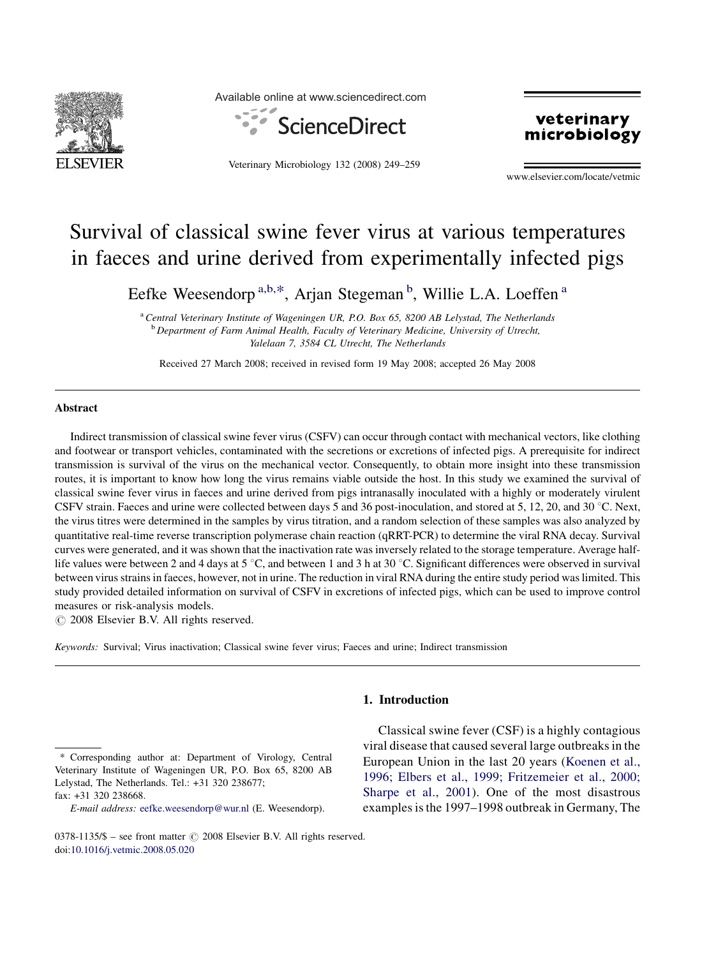

Available online at www.sciencedirect.com



Veterinary Microbiology 132 (2008) 249–259

veterinary microbiology

www.elsevier.com/locate/vetmic

# Survival of classical swine fever virus at various temperatures in faeces and urine derived from experimentally infected pigs

Eefke Weesendorp<sup>a,b,\*</sup>, Arjan Stegeman<sup>b</sup>, Willie L.A. Loeffen<sup>a</sup>

<sup>a</sup> Central Veterinary Institute of Wageningen UR, P.O. Box 65, 8200 AB Lelystad, The Netherlands <sup>b</sup> Department of Farm Animal Health, Faculty of Veterinary Medicine, University of Utrecht, Yalelaan 7, 3584 CL Utrecht, The Netherlands

Received 27 March 2008; received in revised form 19 May 2008; accepted 26 May 2008

### Abstract

Indirect transmission of classical swine fever virus (CSFV) can occur through contact with mechanical vectors, like clothing and footwear or transport vehicles, contaminated with the secretions or excretions of infected pigs. A prerequisite for indirect transmission is survival of the virus on the mechanical vector. Consequently, to obtain more insight into these transmission routes, it is important to know how long the virus remains viable outside the host. In this study we examined the survival of classical swine fever virus in faeces and urine derived from pigs intranasally inoculated with a highly or moderately virulent CSFV strain. Faeces and urine were collected between days 5 and 36 post-inoculation, and stored at 5, 12, 20, and 30 °C. Next, the virus titres were determined in the samples by virus titration, and a random selection of these samples was also analyzed by quantitative real-time reverse transcription polymerase chain reaction (qRRT-PCR) to determine the viral RNA decay. Survival curves were generated, and it was shown that the inactivation rate was inversely related to the storage temperature. Average halflife values were between 2 and 4 days at 5  $\degree$ C, and between 1 and 3 h at 30  $\degree$ C. Significant differences were observed in survival between virus strains in faeces, however, not in urine. The reduction in viral RNA during the entire study period was limited. This study provided detailed information on survival of CSFV in excretions of infected pigs, which can be used to improve control measures or risk-analysis models.

 $\odot$  2008 Elsevier B.V. All rights reserved.

Keywords: Survival; Virus inactivation; Classical swine fever virus; Faeces and urine; Indirect transmission

# 1. Introduction

fax: +31 320 238668.

Classical swine fever (CSF) is a highly contagious viral disease that caused several large outbreaks in the European Union in the last 20 years ([Koenen et al.,](#page-10-0) [1996; Elbers et al., 1999; Fritzemeier et al., 2000;](#page-10-0) [Sharpe et al., 2001](#page-10-0)). One of the most disastrous examples is the 1997–1998 outbreak in Germany, The

<sup>\*</sup> Corresponding author at: Department of Virology, Central Veterinary Institute of Wageningen UR, P.O. Box 65, 8200 AB Lelystad, The Netherlands. Tel.: +31 320 238677;

E-mail address: [eefke.weesendorp@wur.nl](mailto:eefke.weesendorp@wur.nl) (E. Weesendorp).

 $0378-1135/\$$  – see front matter  $\odot$  2008 Elsevier B.V. All rights reserved. doi:[10.1016/j.vetmic.2008.05.020](http://dx.doi.org/10.1016/j.vetmic.2008.05.020)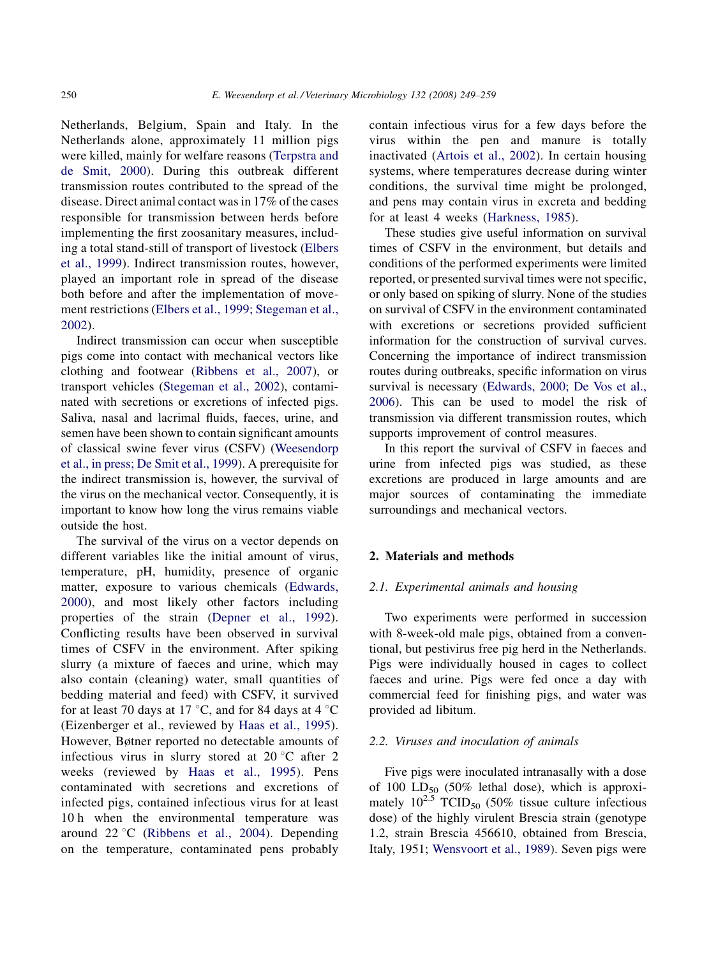Netherlands, Belgium, Spain and Italy. In the Netherlands alone, approximately 11 million pigs were killed, mainly for welfare reasons [\(Terpstra and](#page-10-0) [de Smit, 2000\)](#page-10-0). During this outbreak different transmission routes contributed to the spread of the disease. Direct animal contact was in 17% of the cases responsible for transmission between herds before implementing the first zoosanitary measures, including a total stand-still of transport of livestock ([Elbers](#page-10-0) [et al., 1999\)](#page-10-0). Indirect transmission routes, however, played an important role in spread of the disease both before and after the implementation of movement restrictions ([Elbers et al., 1999; Stegeman et al.,](#page-10-0) [2002\)](#page-10-0).

Indirect transmission can occur when susceptible pigs come into contact with mechanical vectors like clothing and footwear ([Ribbens et al., 2007](#page-10-0)), or transport vehicles ([Stegeman et al., 2002](#page-10-0)), contaminated with secretions or excretions of infected pigs. Saliva, nasal and lacrimal fluids, faeces, urine, and semen have been shown to contain significant amounts of classical swine fever virus (CSFV) [\(Weesendorp](#page-10-0) [et al., in press; De Smit et al., 1999\)](#page-10-0). A prerequisite for the indirect transmission is, however, the survival of the virus on the mechanical vector. Consequently, it is important to know how long the virus remains viable outside the host.

The survival of the virus on a vector depends on different variables like the initial amount of virus, temperature, pH, humidity, presence of organic matter, exposure to various chemicals ([Edwards,](#page-9-0) [2000\)](#page-9-0), and most likely other factors including properties of the strain ([Depner et al., 1992\)](#page-9-0). Conflicting results have been observed in survival times of CSFV in the environment. After spiking slurry (a mixture of faeces and urine, which may also contain (cleaning) water, small quantities of bedding material and feed) with CSFV, it survived for at least 70 days at 17 °C, and for 84 days at 4 °C (Eizenberger et al., reviewed by [Haas et al., 1995\)](#page-10-0). However, Bøtner reported no detectable amounts of infectious virus in slurry stored at  $20^{\circ}$ C after 2 weeks (reviewed by [Haas et al., 1995\)](#page-10-0). Pens contaminated with secretions and excretions of infected pigs, contained infectious virus for at least 10 h when the environmental temperature was around  $22 \degree C$  [\(Ribbens et al., 2004](#page-10-0)). Depending on the temperature, contaminated pens probably contain infectious virus for a few days before the virus within the pen and manure is totally inactivated [\(Artois et al., 2002\)](#page-9-0). In certain housing systems, where temperatures decrease during winter conditions, the survival time might be prolonged, and pens may contain virus in excreta and bedding for at least 4 weeks [\(Harkness, 1985\)](#page-10-0).

These studies give useful information on survival times of CSFV in the environment, but details and conditions of the performed experiments were limited reported, or presented survival times were not specific, or only based on spiking of slurry. None of the studies on survival of CSFV in the environment contaminated with excretions or secretions provided sufficient information for the construction of survival curves. Concerning the importance of indirect transmission routes during outbreaks, specific information on virus survival is necessary ([Edwards, 2000; De Vos et al.,](#page-9-0) [2006](#page-9-0)). This can be used to model the risk of transmission via different transmission routes, which supports improvement of control measures.

In this report the survival of CSFV in faeces and urine from infected pigs was studied, as these excretions are produced in large amounts and are major sources of contaminating the immediate surroundings and mechanical vectors.

## 2. Materials and methods

#### 2.1. Experimental animals and housing

Two experiments were performed in succession with 8-week-old male pigs, obtained from a conventional, but pestivirus free pig herd in the Netherlands. Pigs were individually housed in cages to collect faeces and urine. Pigs were fed once a day with commercial feed for finishing pigs, and water was provided ad libitum.

#### 2.2. Viruses and inoculation of animals

Five pigs were inoculated intranasally with a dose of 100  $LD_{50}$  (50% lethal dose), which is approximately  $10^{2.5}$  TCID<sub>50</sub> (50% tissue culture infectious dose) of the highly virulent Brescia strain (genotype 1.2, strain Brescia 456610, obtained from Brescia, Italy, 1951; [Wensvoort et al., 1989\)](#page-10-0). Seven pigs were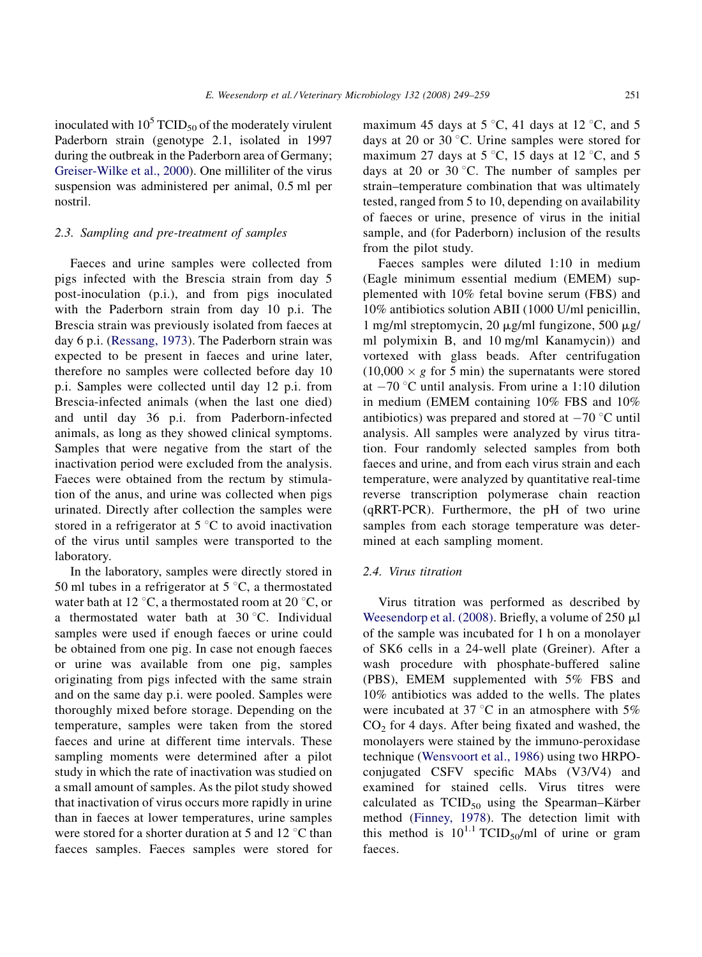inoculated with  $10^5$  TCID<sub>50</sub> of the moderately virulent Paderborn strain (genotype 2.1, isolated in 1997 during the outbreak in the Paderborn area of Germany; [Greiser-Wilke et al., 2000\)](#page-10-0). One milliliter of the virus suspension was administered per animal, 0.5 ml per nostril.

#### 2.3. Sampling and pre-treatment of samples

Faeces and urine samples were collected from pigs infected with the Brescia strain from day 5 post-inoculation (p.i.), and from pigs inoculated with the Paderborn strain from day 10 p.i. The Brescia strain was previously isolated from faeces at day 6 p.i. [\(Ressang, 1973\)](#page-10-0). The Paderborn strain was expected to be present in faeces and urine later, therefore no samples were collected before day 10 p.i. Samples were collected until day 12 p.i. from Brescia-infected animals (when the last one died) and until day 36 p.i. from Paderborn-infected animals, as long as they showed clinical symptoms. Samples that were negative from the start of the inactivation period were excluded from the analysis. Faeces were obtained from the rectum by stimulation of the anus, and urine was collected when pigs urinated. Directly after collection the samples were stored in a refrigerator at  $5^{\circ}$ C to avoid inactivation of the virus until samples were transported to the laboratory.

In the laboratory, samples were directly stored in 50 ml tubes in a refrigerator at  $5^{\circ}$ C, a thermostated water bath at 12  $\mathrm{^{\circ}C}$ , a thermostated room at 20  $\mathrm{^{\circ}C}$ , or a thermostated water bath at  $30^{\circ}$ C. Individual samples were used if enough faeces or urine could be obtained from one pig. In case not enough faeces or urine was available from one pig, samples originating from pigs infected with the same strain and on the same day p.i. were pooled. Samples were thoroughly mixed before storage. Depending on the temperature, samples were taken from the stored faeces and urine at different time intervals. These sampling moments were determined after a pilot study in which the rate of inactivation was studied on a small amount of samples. As the pilot study showed that inactivation of virus occurs more rapidly in urine than in faeces at lower temperatures, urine samples were stored for a shorter duration at 5 and 12  $\degree$ C than faeces samples. Faeces samples were stored for

maximum 45 days at  $5^{\circ}$ C, 41 days at 12  $^{\circ}$ C, and 5 days at 20 or 30 $\degree$ C. Urine samples were stored for maximum 27 days at  $5^{\circ}$ C, 15 days at 12  $^{\circ}$ C, and 5 days at 20 or 30 $\degree$ C. The number of samples per strain–temperature combination that was ultimately tested, ranged from 5 to 10, depending on availability of faeces or urine, presence of virus in the initial sample, and (for Paderborn) inclusion of the results from the pilot study.

Faeces samples were diluted 1:10 in medium (Eagle minimum essential medium (EMEM) supplemented with 10% fetal bovine serum (FBS) and 10% antibiotics solution ABII (1000 U/ml penicillin, 1 mg/ml streptomycin, 20  $\mu$ g/ml fungizone, 500  $\mu$ g/ ml polymixin B, and 10 mg/ml Kanamycin)) and vortexed with glass beads. After centrifugation  $(10,000 \times g$  for 5 min) the supernatants were stored at  $-70$  °C until analysis. From urine a 1:10 dilution in medium (EMEM containing 10% FBS and 10% antibiotics) was prepared and stored at  $-70$  °C until analysis. All samples were analyzed by virus titration. Four randomly selected samples from both faeces and urine, and from each virus strain and each temperature, were analyzed by quantitative real-time reverse transcription polymerase chain reaction (qRRT-PCR). Furthermore, the pH of two urine samples from each storage temperature was determined at each sampling moment.

## 2.4. Virus titration

Virus titration was performed as described by [Weesendorp et al. \(2008\).](#page-10-0) Briefly, a volume of  $250 \mu l$ of the sample was incubated for 1 h on a monolayer of SK6 cells in a 24-well plate (Greiner). After a wash procedure with phosphate-buffered saline (PBS), EMEM supplemented with 5% FBS and 10% antibiotics was added to the wells. The plates were incubated at 37  $\degree$ C in an atmosphere with 5%  $CO<sub>2</sub>$  for 4 days. After being fixated and washed, the monolayers were stained by the immuno-peroxidase technique [\(Wensvoort et al., 1986\)](#page-10-0) using two HRPOconjugated CSFV specific MAbs (V3/V4) and examined for stained cells. Virus titres were calculated as  $TCID_{50}$  using the Spearman–Kärber method [\(Finney, 1978](#page-10-0)). The detection limit with this method is  $10^{1.1}$  TCID<sub>50</sub>/ml of urine or gram faeces.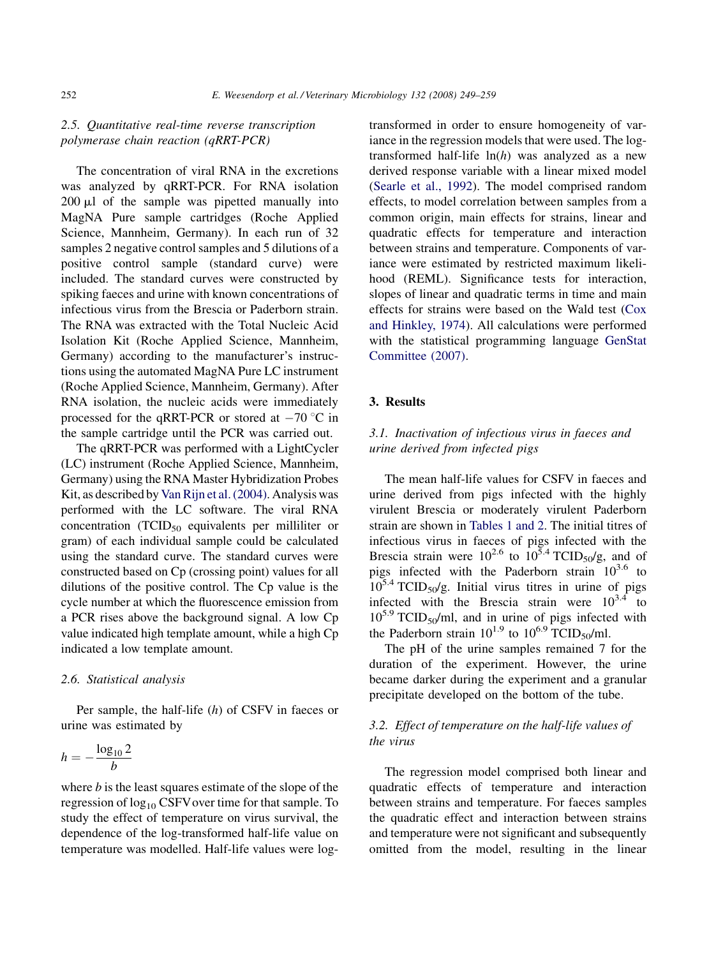# 2.5. Quantitative real-time reverse transcription polymerase chain reaction (qRRT-PCR)

The concentration of viral RNA in the excretions was analyzed by qRRT-PCR. For RNA isolation  $200 \mu l$  of the sample was pipetted manually into MagNA Pure sample cartridges (Roche Applied Science, Mannheim, Germany). In each run of 32 samples 2 negative control samples and 5 dilutions of a positive control sample (standard curve) were included. The standard curves were constructed by spiking faeces and urine with known concentrations of infectious virus from the Brescia or Paderborn strain. The RNA was extracted with the Total Nucleic Acid Isolation Kit (Roche Applied Science, Mannheim, Germany) according to the manufacturer's instructions using the automated MagNA Pure LC instrument (Roche Applied Science, Mannheim, Germany). After RNA isolation, the nucleic acids were immediately processed for the qRRT-PCR or stored at  $-70$  °C in the sample cartridge until the PCR was carried out.

The qRRT-PCR was performed with a LightCycler (LC) instrument (Roche Applied Science, Mannheim, Germany) using the RNA Master Hybridization Probes Kit, as described by [Van Rijn et al. \(2004\)](#page-10-0). Analysis was performed with the LC software. The viral RNA concentration (TCID $_{50}$  equivalents per milliliter or gram) of each individual sample could be calculated using the standard curve. The standard curves were constructed based on Cp (crossing point) values for all dilutions of the positive control. The Cp value is the cycle number at which the fluorescence emission from a PCR rises above the background signal. A low Cp value indicated high template amount, while a high Cp indicated a low template amount.

## 2.6. Statistical analysis

Per sample, the half-life (h) of CSFV in faeces or urine was estimated by

$$
h=-\frac{\log_{10}2}{b}
$$

where  $b$  is the least squares estimate of the slope of the regression of  $log_{10}$  CSFV over time for that sample. To study the effect of temperature on virus survival, the dependence of the log-transformed half-life value on temperature was modelled. Half-life values were logtransformed in order to ensure homogeneity of variance in the regression models that were used. The logtransformed half-life  $ln(h)$  was analyzed as a new derived response variable with a linear mixed model ([Searle et al., 1992\)](#page-10-0). The model comprised random effects, to model correlation between samples from a common origin, main effects for strains, linear and quadratic effects for temperature and interaction between strains and temperature. Components of variance were estimated by restricted maximum likelihood (REML). Significance tests for interaction, slopes of linear and quadratic terms in time and main effects for strains were based on the Wald test [\(Cox](#page-9-0) [and Hinkley, 1974](#page-9-0)). All calculations were performed with the statistical programming language [GenStat](#page-10-0) [Committee \(2007\)](#page-10-0).

## 3. Results

# 3.1. Inactivation of infectious virus in faeces and urine derived from infected pigs

The mean half-life values for CSFV in faeces and urine derived from pigs infected with the highly virulent Brescia or moderately virulent Paderborn strain are shown in [Tables 1 and 2](#page-4-0). The initial titres of infectious virus in faeces of pigs infected with the Brescia strain were  $10^{2.6}$  to  $10^{5.4}$  TCID<sub>50</sub>/g, and of pigs infected with the Paderborn strain  $10^{3.6}$  to  $10^{5.4}$  TCID<sub>50</sub>/g. Initial virus titres in urine of pigs infected with the Brescia strain were  $10^{3.4}$  to  $10^{5.9}$  TCID<sub>50</sub>/ml, and in urine of pigs infected with the Paderborn strain  $10^{1.9}$  to  $10^{6.9}$  TCID<sub>50</sub>/ml.

The pH of the urine samples remained 7 for the duration of the experiment. However, the urine became darker during the experiment and a granular precipitate developed on the bottom of the tube.

## 3.2. Effect of temperature on the half-life values of the virus

The regression model comprised both linear and quadratic effects of temperature and interaction between strains and temperature. For faeces samples the quadratic effect and interaction between strains and temperature were not significant and subsequently omitted from the model, resulting in the linear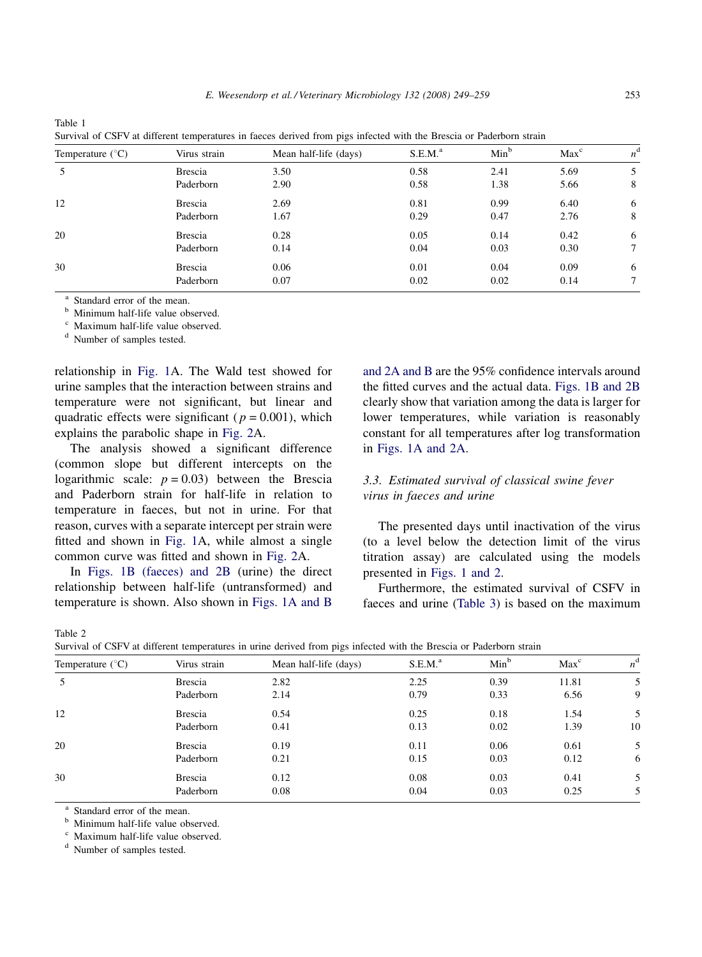| Survival of CSFV at different temperatures in faeces derived from pigs infected with the Brescia or Paderborn strain |                |                       |                     |                  |                  |       |
|----------------------------------------------------------------------------------------------------------------------|----------------|-----------------------|---------------------|------------------|------------------|-------|
| Temperature $(^{\circ}C)$                                                                                            | Virus strain   | Mean half-life (days) | S.E.M. <sup>a</sup> | Min <sup>b</sup> | Max <sup>c</sup> | $n^d$ |
| 5                                                                                                                    | <b>Brescia</b> | 3.50                  | 0.58                | 2.41             | 5.69             |       |
|                                                                                                                      | Paderborn      | 2.90                  | 0.58                | 1.38             | 5.66             | 8     |
| 12                                                                                                                   | <b>Brescia</b> | 2.69                  | 0.81                | 0.99             | 6.40             | 6     |
|                                                                                                                      | Paderborn      | 1.67                  | 0.29                | 0.47             | 2.76             | 8     |
| 20                                                                                                                   | <b>Brescia</b> | 0.28                  | 0.05                | 0.14             | 0.42             | 6     |
|                                                                                                                      | Paderborn      | 0.14                  | 0.04                | 0.03             | 0.30             |       |
|                                                                                                                      |                |                       |                     |                  |                  |       |

30 Brescia 0.06 0.01 0.04 0.09 6

Paderborn 0.07 0.02 0.02 0.14 7

<span id="page-4-0"></span>

| Table 1                                                                                                              |  |  |  |
|----------------------------------------------------------------------------------------------------------------------|--|--|--|
| Survival of CSFV at different temperatures in faeces derived from pigs infected with the Brescia or Paderborn strain |  |  |  |

<sup>a</sup> Standard error of the mean.<br><sup>b</sup> Minimum half-life value observed.<br><sup>c</sup> Maximum half-life value observed.

Number of samples tested.

relationship in [Fig. 1](#page-5-0)A. The Wald test showed for urine samples that the interaction between strains and temperature were not significant, but linear and quadratic effects were significant ( $p = 0.001$ ), which explains the parabolic shape in [Fig. 2A](#page-5-0).

The analysis showed a significant difference (common slope but different intercepts on the logarithmic scale:  $p = 0.03$ ) between the Brescia and Paderborn strain for half-life in relation to temperature in faeces, but not in urine. For that reason, curves with a separate intercept per strain were fitted and shown in [Fig. 1](#page-5-0)A, while almost a single common curve was fitted and shown in [Fig. 2A](#page-5-0).

In [Figs. 1B \(faeces\) and 2B](#page-5-0) (urine) the direct relationship between half-life (untransformed) and temperature is shown. Also shown in [Figs. 1A and B](#page-5-0)

[and 2A and B](#page-5-0) are the 95% confidence intervals around the fitted curves and the actual data. [Figs. 1B and 2B](#page-5-0) clearly show that variation among the data is larger for lower temperatures, while variation is reasonably constant for all temperatures after log transformation in [Figs. 1A and 2A](#page-5-0).

# 3.3. Estimated survival of classical swine fever virus in faeces and urine

The presented days until inactivation of the virus (to a level below the detection limit of the virus titration assay) are calculated using the models presented in [Figs. 1 and 2](#page-5-0).

Furthermore, the estimated survival of CSFV in faeces and urine ([Table 3\)](#page-6-0) is based on the maximum

Table 2

| Survival of CSFV at different temperatures in urine derived from pigs infected with the Brescia or Paderborn strain |  |  |  |
|---------------------------------------------------------------------------------------------------------------------|--|--|--|
|                                                                                                                     |  |  |  |

|                           |                | $\sim$                |                     |                  |                  |       |
|---------------------------|----------------|-----------------------|---------------------|------------------|------------------|-------|
| Temperature $(^{\circ}C)$ | Virus strain   | Mean half-life (days) | S.E.M. <sup>a</sup> | Min <sup>b</sup> | Max <sup>c</sup> | $n^d$ |
|                           | <b>Brescia</b> | 2.82                  | 2.25                | 0.39             | 11.81            | 5     |
|                           | Paderborn      | 2.14                  | 0.79                | 0.33             | 6.56             | 9     |
| 12                        | <b>Brescia</b> | 0.54                  | 0.25                | 0.18             | 1.54             | 5     |
|                           | Paderborn      | 0.41                  | 0.13                | 0.02             | 1.39             | 10    |
| 20                        | <b>Brescia</b> | 0.19                  | 0.11                | 0.06             | 0.61             | 5     |
|                           | Paderborn      | 0.21                  | 0.15                | 0.03             | 0.12             | 6     |
| 30                        | <b>Brescia</b> | 0.12                  | 0.08                | 0.03             | 0.41             | 5     |
|                           | Paderborn      | 0.08                  | 0.04                | 0.03             | 0.25             | 5     |
|                           |                |                       |                     |                  |                  |       |

 $\alpha$  Standard error of the mean.<br>b Minimum half-life value observed.

 $C<sub>d</sub>$  Maximum half-life value observed.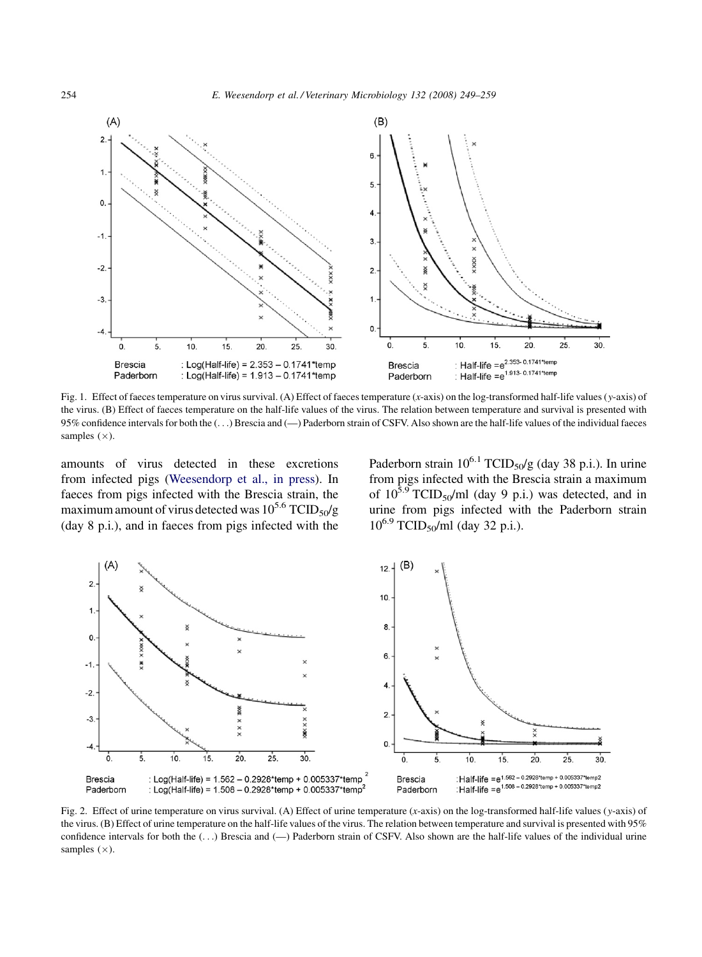<span id="page-5-0"></span>

Fig. 1. Effect of faeces temperature on virus survival. (A) Effect of faeces temperature (x-axis) on the log-transformed half-life values (y-axis) of the virus. (B) Effect of faeces temperature on the half-life values of the virus. The relation between temperature and survival is presented with 95% confidence intervals for both the (...) Brescia and (—) Paderborn strain of CSFV. Also shown are the half-life values of the individual faeces samples  $(\times)$ .

amounts of virus detected in these excretions from infected pigs [\(Weesendorp et al., in press](#page-10-0)). In faeces from pigs infected with the Brescia strain, the maximum amount of virus detected was  $10^{5.6}$  TCID<sub>50</sub>/g (day 8 p.i.), and in faeces from pigs infected with the

Paderborn strain  $10^{6.1}$  TCID<sub>50</sub>/g (day 38 p.i.). In urine from pigs infected with the Brescia strain a maximum of  $10^{5.9}$  TCID<sub>50</sub>/ml (day 9 p.i.) was detected, and in urine from pigs infected with the Paderborn strain  $10^{6.9}$  TCID<sub>50</sub>/ml (day 32 p.i.).



Fig. 2. Effect of urine temperature on virus survival. (A) Effect of urine temperature (x-axis) on the log-transformed half-life values (y-axis) of the virus. (B) Effect of urine temperature on the half-life values of the virus. The relation between temperature and survival is presented with 95% confidence intervals for both the (...) Brescia and (—) Paderborn strain of CSFV. Also shown are the half-life values of the individual urine samples  $(x)$ .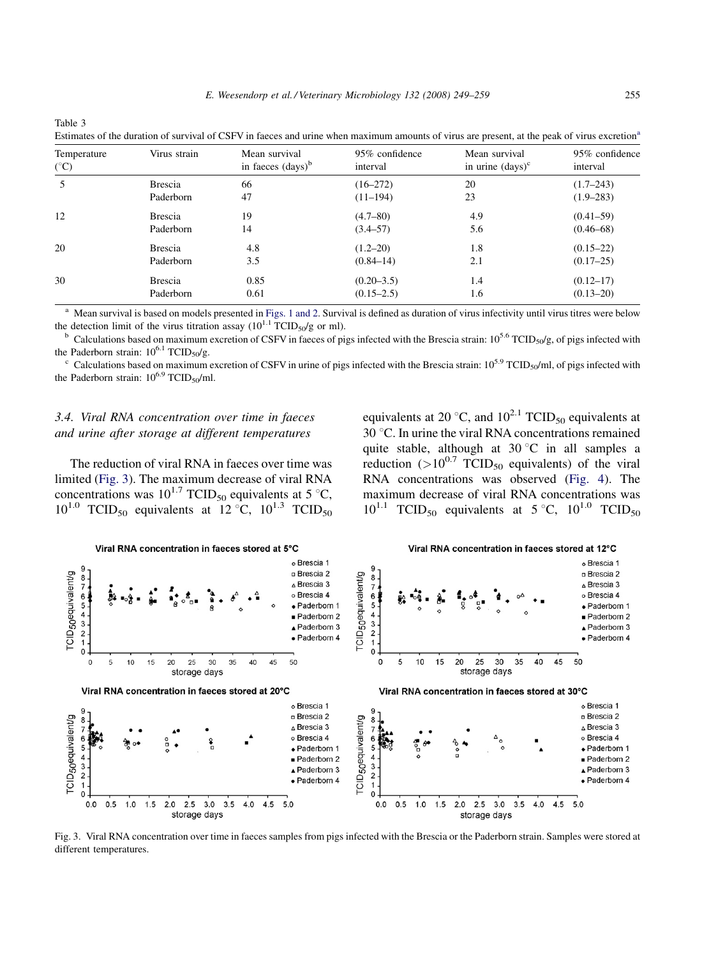| Temperature<br>$({}^{\circ}C)$ | Virus strain   | Mean survival<br>in faeces $\left(\text{days}\right)^{b}$ | 95% confidence<br>interval | Mean survival<br>in urine $\left(\text{days}\right)^c$ | 95% confidence<br>interval |
|--------------------------------|----------------|-----------------------------------------------------------|----------------------------|--------------------------------------------------------|----------------------------|
| 5                              | <b>Brescia</b> | 66                                                        | $(16-272)$                 | 20                                                     | $(1.7 - 243)$              |
|                                | Paderborn      | 47                                                        | $(11-194)$                 | 23                                                     | $(1.9 - 283)$              |
| 12                             | <b>Brescia</b> | 19                                                        | $(4.7 - 80)$               | 4.9                                                    | $(0.41 - 59)$              |
|                                | Paderborn      | 14                                                        | $(3.4 - 57)$               | 5.6                                                    | $(0.46 - 68)$              |
| 20                             | <b>Brescia</b> | 4.8                                                       | $(1.2 - 20)$               | 1.8                                                    | $(0.15 - 22)$              |
|                                | Paderborn      | 3.5                                                       | $(0.84 - 14)$              | 2.1                                                    | $(0.17-25)$                |
| 30                             | <b>Brescia</b> | 0.85                                                      | $(0.20 - 3.5)$             | 1.4                                                    | $(0.12 - 17)$              |
|                                | Paderborn      | 0.61                                                      | $(0.15-2.5)$               | 1.6                                                    | $(0.13 - 20)$              |

| Estimates of the duration of survival of CSFV in faeces and urine when maximum amounts of virus are present, at the peak of virus excretion <sup>a</sup> |  |  |
|----------------------------------------------------------------------------------------------------------------------------------------------------------|--|--|
|                                                                                                                                                          |  |  |

<sup>a</sup> Mean survival is based on models presented in [Figs. 1 and 2.](#page-5-0) Survival is defined as duration of virus infectivity until virus titres were below the detection limit of the virus titration assay ( $10^{1.1}$  TCID<sub>50</sub>/g or

<sup>b</sup> Calculations based on maximum excretion of CSFV in faeces of pigs infected with the Brescia strain:  $10^{5.6}$  TCID<sub>50</sub>/g, of pigs infected with the Paderborn strain:  $10^{6.1}$  TCID<sub>50</sub>/g.

<sup>c</sup> Calculations based on maximum excretion of CSFV in urine of pigs infected with the Brescia strain:  $10^{5.9}$  TCID<sub>50</sub>/ml, of pigs infected with the Paderborn strain:  $10^{6.9}$  TCID<sub>50</sub>/ml.

# 3.4. Viral RNA concentration over time in faeces and urine after storage at different temperatures

<span id="page-6-0"></span>Table 3

The reduction of viral RNA in faeces over time was limited (Fig. 3). The maximum decrease of viral RNA concentrations was  $10^{1.7}$  TCID<sub>50</sub> equivalents at 5 °C,  $10^{1.0}$  TCID<sub>50</sub> equivalents at 12 °C,  $10^{1.3}$  TCID<sub>50</sub> equivalents at 20 °C, and  $10^{2.1}$  TCID<sub>50</sub> equivalents at 30 8C. In urine the viral RNA concentrations remained quite stable, although at  $30^{\circ}$ C in all samples a reduction ( $>10^{0.7}$  TCID<sub>50</sub> equivalents) of the viral RNA concentrations was observed ([Fig. 4\)](#page-7-0). The maximum decrease of viral RNA concentrations was  $10^{1.1}$  TCID<sub>50</sub> equivalents at 5 °C,  $10^{1.0}$  TCID<sub>50</sub>



Fig. 3. Viral RNA concentration over time in faeces samples from pigs infected with the Brescia or the Paderborn strain. Samples were stored at different temperatures.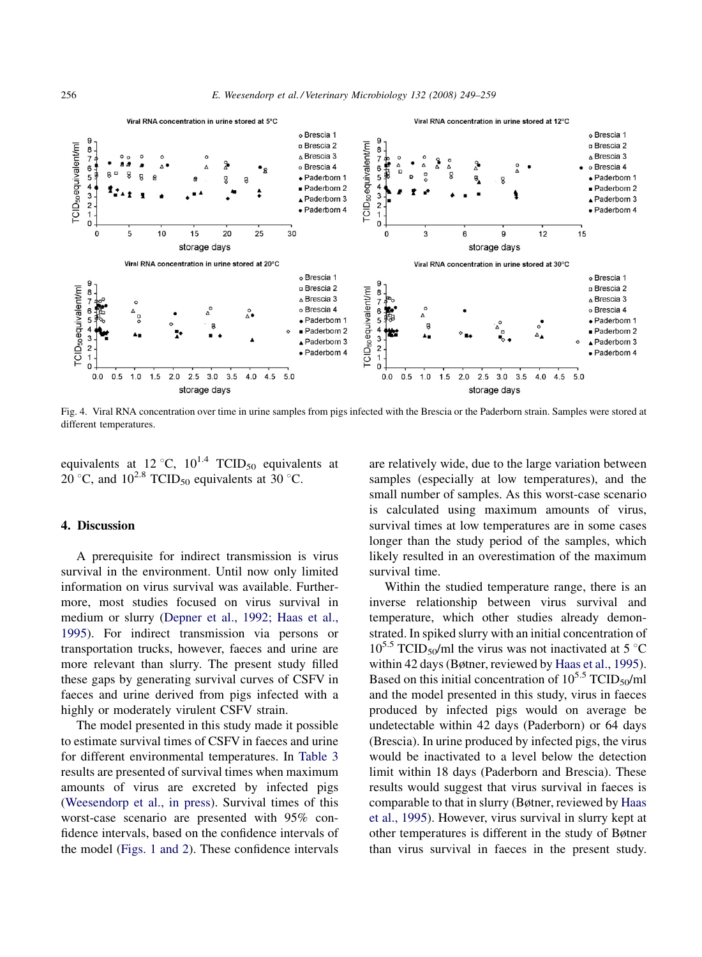<span id="page-7-0"></span>

Fig. 4. Viral RNA concentration over time in urine samples from pigs infected with the Brescia or the Paderborn strain. Samples were stored at different temperatures.

equivalents at  $12 \degree C$ ,  $10^{1.4}$  TCID<sub>50</sub> equivalents at  $20^{\circ}$ C, and  $10^{2.8}$  TCID<sub>50</sub> equivalents at  $30^{\circ}$ C.

#### 4. Discussion

A prerequisite for indirect transmission is virus survival in the environment. Until now only limited information on virus survival was available. Furthermore, most studies focused on virus survival in medium or slurry [\(Depner et al., 1992; Haas et al.,](#page-9-0) [1995](#page-9-0)). For indirect transmission via persons or transportation trucks, however, faeces and urine are more relevant than slurry. The present study filled these gaps by generating survival curves of CSFV in faeces and urine derived from pigs infected with a highly or moderately virulent CSFV strain.

The model presented in this study made it possible to estimate survival times of CSFV in faeces and urine for different environmental temperatures. In [Table 3](#page-6-0) results are presented of survival times when maximum amounts of virus are excreted by infected pigs ([Weesendorp et al., in press](#page-10-0)). Survival times of this worst-case scenario are presented with 95% confidence intervals, based on the confidence intervals of the model ([Figs. 1 and 2\)](#page-5-0). These confidence intervals

are relatively wide, due to the large variation between samples (especially at low temperatures), and the small number of samples. As this worst-case scenario is calculated using maximum amounts of virus, survival times at low temperatures are in some cases longer than the study period of the samples, which likely resulted in an overestimation of the maximum survival time.

Within the studied temperature range, there is an inverse relationship between virus survival and temperature, which other studies already demonstrated. In spiked slurry with an initial concentration of  $10^{5.5}$  TCID<sub>50</sub>/ml the virus was not inactivated at 5 °C within 42 days (Bøtner, reviewed by [Haas et al., 1995\)](#page-10-0). Based on this initial concentration of  $10^{5.5}$  TCID<sub>50</sub>/ml and the model presented in this study, virus in faeces produced by infected pigs would on average be undetectable within 42 days (Paderborn) or 64 days (Brescia). In urine produced by infected pigs, the virus would be inactivated to a level below the detection limit within 18 days (Paderborn and Brescia). These results would suggest that virus survival in faeces is comparable to that in slurry (Bøtner, reviewed by [Haas](#page-10-0) [et al., 1995](#page-10-0)). However, virus survival in slurry kept at other temperatures is different in the study of Bøtner than virus survival in faeces in the present study.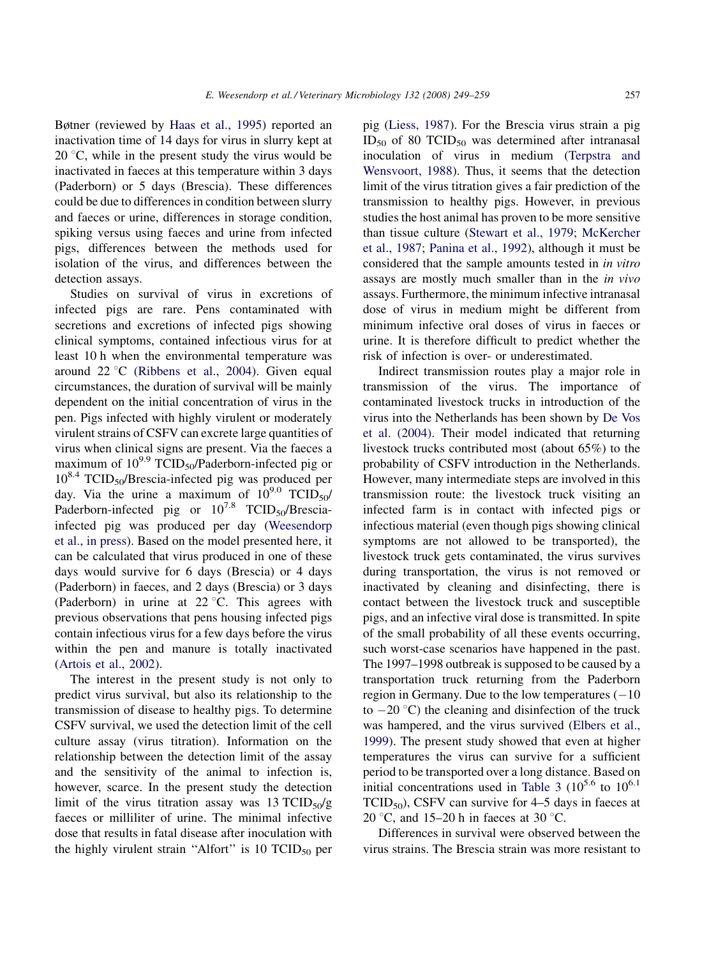Bøtner (reviewed by [Haas et al., 1995](#page-10-0)) reported an inactivation time of 14 days for virus in slurry kept at 20 $\degree$ C, while in the present study the virus would be inactivated in faeces at this temperature within 3 days (Paderborn) or 5 days (Brescia). These differences could be due to differences in condition between slurry and faeces or urine, differences in storage condition, spiking versus using faeces and urine from infected pigs, differences between the methods used for isolation of the virus, and differences between the detection assays.

Studies on survival of virus in excretions of infected pigs are rare. Pens contaminated with secretions and excretions of infected pigs showing clinical symptoms, contained infectious virus for at least 10 h when the environmental temperature was around  $22^{\circ}$ C [\(Ribbens et al., 2004](#page-10-0)). Given equal circumstances, the duration of survival will be mainly dependent on the initial concentration of virus in the pen. Pigs infected with highly virulent or moderately virulent strains of CSFV can excrete large quantities of virus when clinical signs are present. Via the faeces a maximum of  $10^{9.9}$  TCID<sub>50</sub>/Paderborn-infected pig or  $10^{8.4}$  TCID<sub>50</sub>/Brescia-infected pig was produced per day. Via the urine a maximum of  $10^{9.0}$  TCID<sub>50</sub>/ Paderborn-infected pig or  $10^{7.8}$  TCID<sub>50</sub>/Bresciainfected pig was produced per day [\(Weesendorp](#page-10-0) [et al., in press](#page-10-0)). Based on the model presented here, it can be calculated that virus produced in one of these days would survive for 6 days (Brescia) or 4 days (Paderborn) in faeces, and 2 days (Brescia) or 3 days (Paderborn) in urine at  $22^{\circ}$ C. This agrees with previous observations that pens housing infected pigs contain infectious virus for a few days before the virus within the pen and manure is totally inactivated ([Artois et al., 2002](#page-9-0)).

The interest in the present study is not only to predict virus survival, but also its relationship to the transmission of disease to healthy pigs. To determine CSFV survival, we used the detection limit of the cell culture assay (virus titration). Information on the relationship between the detection limit of the assay and the sensitivity of the animal to infection is, however, scarce. In the present study the detection limit of the virus titration assay was  $13 \text{ TCID}_{50}/g$ faeces or milliliter of urine. The minimal infective dose that results in fatal disease after inoculation with the highly virulent strain "Alfort" is  $10$  TCID<sub>50</sub> per pig ([Liess, 1987\)](#page-10-0). For the Brescia virus strain a pig ID<sub>50</sub> of 80 TCID<sub>50</sub> was determined after intranasal inoculation of virus in medium [\(Terpstra and](#page-10-0) [Wensvoort, 1988](#page-10-0)). Thus, it seems that the detection limit of the virus titration gives a fair prediction of the transmission to healthy pigs. However, in previous studies the host animal has proven to be more sensitive than tissue culture ([Stewart et al., 1979; McKercher](#page-10-0) [et al., 1987; Panina et al., 1992](#page-10-0)), although it must be considered that the sample amounts tested in in vitro assays are mostly much smaller than in the in vivo assays. Furthermore, the minimum infective intranasal dose of virus in medium might be different from minimum infective oral doses of virus in faeces or urine. It is therefore difficult to predict whether the risk of infection is over- or underestimated.

Indirect transmission routes play a major role in transmission of the virus. The importance of contaminated livestock trucks in introduction of the virus into the Netherlands has been shown by [De Vos](#page-9-0) [et al. \(2004\).](#page-9-0) Their model indicated that returning livestock trucks contributed most (about 65%) to the probability of CSFV introduction in the Netherlands. However, many intermediate steps are involved in this transmission route: the livestock truck visiting an infected farm is in contact with infected pigs or infectious material (even though pigs showing clinical symptoms are not allowed to be transported), the livestock truck gets contaminated, the virus survives during transportation, the virus is not removed or inactivated by cleaning and disinfecting, there is contact between the livestock truck and susceptible pigs, and an infective viral dose is transmitted. In spite of the small probability of all these events occurring, such worst-case scenarios have happened in the past. The 1997–1998 outbreak is supposed to be caused by a transportation truck returning from the Paderborn region in Germany. Due to the low temperatures  $(-10$ to  $-20$  °C) the cleaning and disinfection of the truck was hampered, and the virus survived ([Elbers et al.,](#page-10-0) [1999\)](#page-10-0). The present study showed that even at higher temperatures the virus can survive for a sufficient period to be transported over a long distance. Based on initial concentrations used in [Table 3](#page-6-0) ( $10^{5.6}$  to  $10^{6.1}$ )  $TCID_{50}$ , CSFV can survive for 4–5 days in faeces at 20 °C, and 15–20 h in faeces at 30 °C.

Differences in survival were observed between the virus strains. The Brescia strain was more resistant to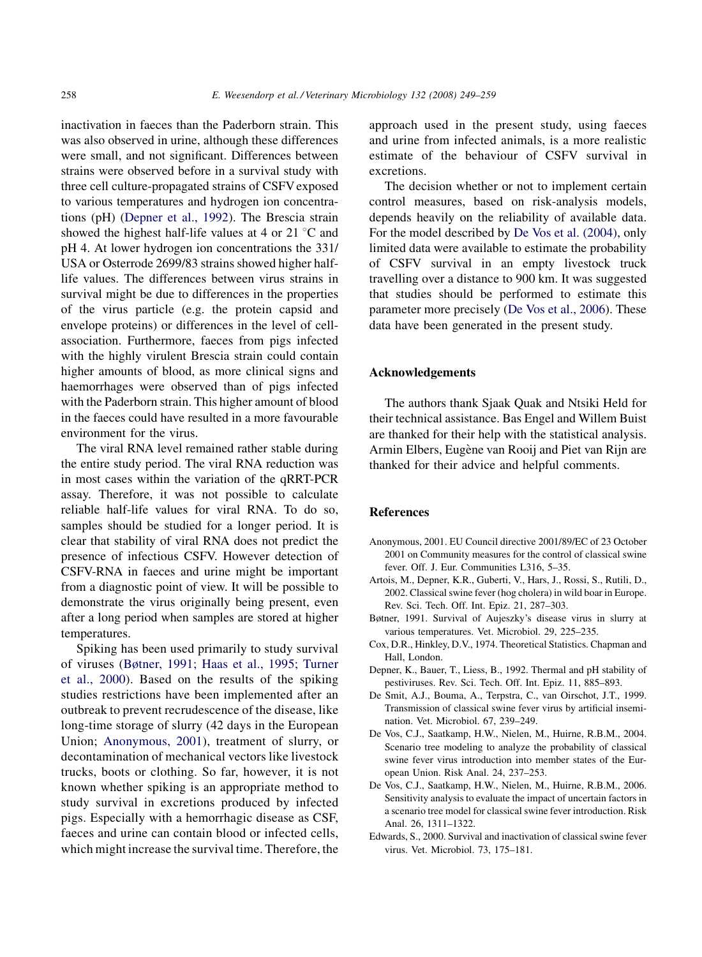<span id="page-9-0"></span>inactivation in faeces than the Paderborn strain. This was also observed in urine, although these differences were small, and not significant. Differences between strains were observed before in a survival study with three cell culture-propagated strains of CSFV exposed to various temperatures and hydrogen ion concentrations (pH) (Depner et al., 1992). The Brescia strain showed the highest half-life values at 4 or 21  $\mathrm{^{\circ}C}$  and pH 4. At lower hydrogen ion concentrations the 331/ USA or Osterrode 2699/83 strains showed higher halflife values. The differences between virus strains in survival might be due to differences in the properties of the virus particle (e.g. the protein capsid and envelope proteins) or differences in the level of cellassociation. Furthermore, faeces from pigs infected with the highly virulent Brescia strain could contain higher amounts of blood, as more clinical signs and haemorrhages were observed than of pigs infected with the Paderborn strain. This higher amount of blood in the faeces could have resulted in a more favourable environment for the virus.

The viral RNA level remained rather stable during the entire study period. The viral RNA reduction was in most cases within the variation of the qRRT-PCR assay. Therefore, it was not possible to calculate reliable half-life values for viral RNA. To do so, samples should be studied for a longer period. It is clear that stability of viral RNA does not predict the presence of infectious CSFV. However detection of CSFV-RNA in faeces and urine might be important from a diagnostic point of view. It will be possible to demonstrate the virus originally being present, even after a long period when samples are stored at higher temperatures.

Spiking has been used primarily to study survival of viruses (Bøtner, 1991; Haas et al., 1995; Turner et al., 2000). Based on the results of the spiking studies restrictions have been implemented after an outbreak to prevent recrudescence of the disease, like long-time storage of slurry (42 days in the European Union; Anonymous, 2001), treatment of slurry, or decontamination of mechanical vectors like livestock trucks, boots or clothing. So far, however, it is not known whether spiking is an appropriate method to study survival in excretions produced by infected pigs. Especially with a hemorrhagic disease as CSF, faeces and urine can contain blood or infected cells, which might increase the survival time. Therefore, the

approach used in the present study, using faeces and urine from infected animals, is a more realistic estimate of the behaviour of CSFV survival in excretions.

The decision whether or not to implement certain control measures, based on risk-analysis models, depends heavily on the reliability of available data. For the model described by De Vos et al. (2004), only limited data were available to estimate the probability of CSFV survival in an empty livestock truck travelling over a distance to 900 km. It was suggested that studies should be performed to estimate this parameter more precisely (De Vos et al., 2006). These data have been generated in the present study.

#### Acknowledgements

The authors thank Sjaak Quak and Ntsiki Held for their technical assistance. Bas Engel and Willem Buist are thanked for their help with the statistical analysis. Armin Elbers, Eugène van Rooij and Piet van Rijn are thanked for their advice and helpful comments.

#### **References**

- Anonymous, 2001. EU Council directive 2001/89/EC of 23 October 2001 on Community measures for the control of classical swine fever. Off. J. Eur. Communities L316, 5–35.
- Artois, M., Depner, K.R., Guberti, V., Hars, J., Rossi, S., Rutili, D., 2002. Classical swine fever (hog cholera) in wild boar in Europe. Rev. Sci. Tech. Off. Int. Epiz. 21, 287–303.
- Bøtner, 1991. Survival of Aujeszky's disease virus in slurry at various temperatures. Vet. Microbiol. 29, 225–235.
- Cox, D.R., Hinkley, D.V., 1974. Theoretical Statistics. Chapman and Hall, London.
- Depner, K., Bauer, T., Liess, B., 1992. Thermal and pH stability of pestiviruses. Rev. Sci. Tech. Off. Int. Epiz. 11, 885–893.
- De Smit, A.J., Bouma, A., Terpstra, C., van Oirschot, J.T., 1999. Transmission of classical swine fever virus by artificial insemination. Vet. Microbiol. 67, 239–249.
- De Vos, C.J., Saatkamp, H.W., Nielen, M., Huirne, R.B.M., 2004. Scenario tree modeling to analyze the probability of classical swine fever virus introduction into member states of the European Union. Risk Anal. 24, 237–253.
- De Vos, C.J., Saatkamp, H.W., Nielen, M., Huirne, R.B.M., 2006. Sensitivity analysis to evaluate the impact of uncertain factors in a scenario tree model for classical swine fever introduction. Risk Anal. 26, 1311–1322.
- Edwards, S., 2000. Survival and inactivation of classical swine fever virus. Vet. Microbiol. 73, 175–181.